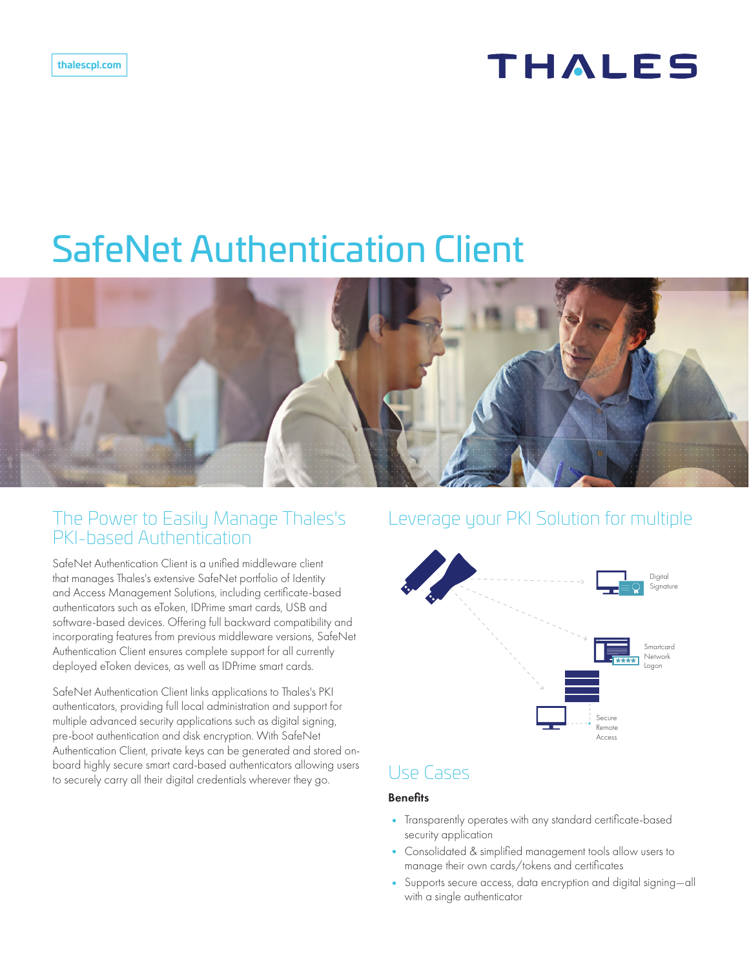# **THALES**

# SafeNet Authentication Client



# The Power to Easily Manage Thales's PKI-based Authentication

SafeNet Authentication Client is a unified middleware client that manages Thales's extensive SafeNet portfolio of Identity and Access Management Solutions, including certificate-based authenticators such as eToken, IDPrime smart cards, USB and software-based devices. Offering full backward compatibility and incorporating features from previous middleware versions, SafeNet Authentication Client ensures complete support for all currently deployed eToken devices, as well as IDPrime smart cards.

SafeNet Authentication Client links applications to Thales's PKI authenticators, providing full local administration and support for multiple advanced security applications such as digital signing, pre-boot authentication and disk encryption. With SafeNet Authentication Client, private keys can be generated and stored onboard highly secure smart card-based authenticators allowing users to securely carry all their digital credentials wherever they go.

# Leverage your PKI Solution for multiple



# Use Cases

## **Benefits**

- Transparently operates with any standard certificate-based security application
- Consolidated & simplified management tools allow users to manage their own cards/tokens and certificates
- Supports secure access, data encryption and digital signing—all with a single authenticator